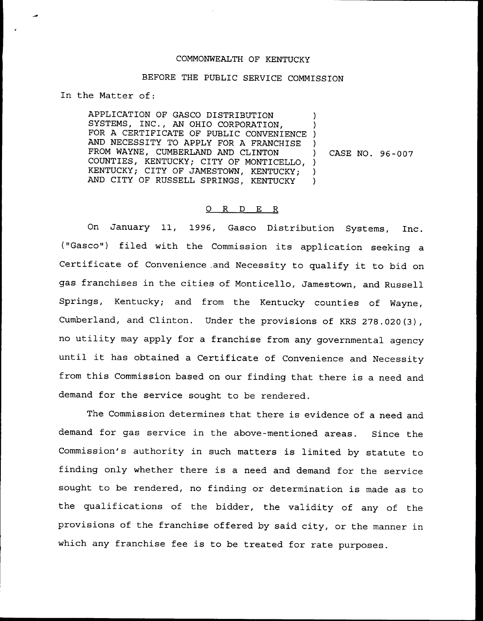## COMMONWEALTH OF KENTUCKY

## BEFORE THE PUBLIC SERVICE COMMISSION

In the Matter of:

APPLICATION OF GASCO DISTRIBUTION SYSTEMS, INC., AN OHIO CORPORATION, SISIEMS, INC., AN ONIO CORPORATION, AND NECESSITY TO APPLY FOR A FRANCHISE FROM WAYNE, CUMBERLAND AND CLINTON COUNTIES, KENTUCKY; CITY OF MONTICELLO, ) KENTUCKY; CITY OF JAMESTOWN, KENTUCKY; AND CITY OF RUSSELL SPRINGS, KENTUCKY ) ) ) ) CASE NO. 96-007 ) )

## 0 R <sup>D</sup> E R

On January 11, 1996, Gasco Distribution Systems, Inc. ("Gasco") filed with the Commission its application seeking a Certificate of Convenience,and Necessity to qualify it to bid on gas franchises in the cities of Monticello, Jamestown, and Russell Springs, Kentucky; and from the Kentucky counties of Wayne, Cumberland, and Clinton. Under the provisions of KRS 278.020(3), no utility may apply for <sup>a</sup> franchise from any governmental agency until it has obtained <sup>a</sup> Certificate of Convenience and Necessity from this Commission based on our finding that there is a need and demand for the service sought to be rendered.

The Commission determines that there is evidence of a need and demand for gas service in the above-mentioned areas. Since the Commission's authority in such matters is limited by statute to finding only whether there is <sup>a</sup> need and demand for the service sought to be rendered, no finding or determination is made as to the qualifications of the bidder, the validity of any of the provisions of the franchise offered by said city, or the manner in which any franchise fee is to be treated for rate purposes.